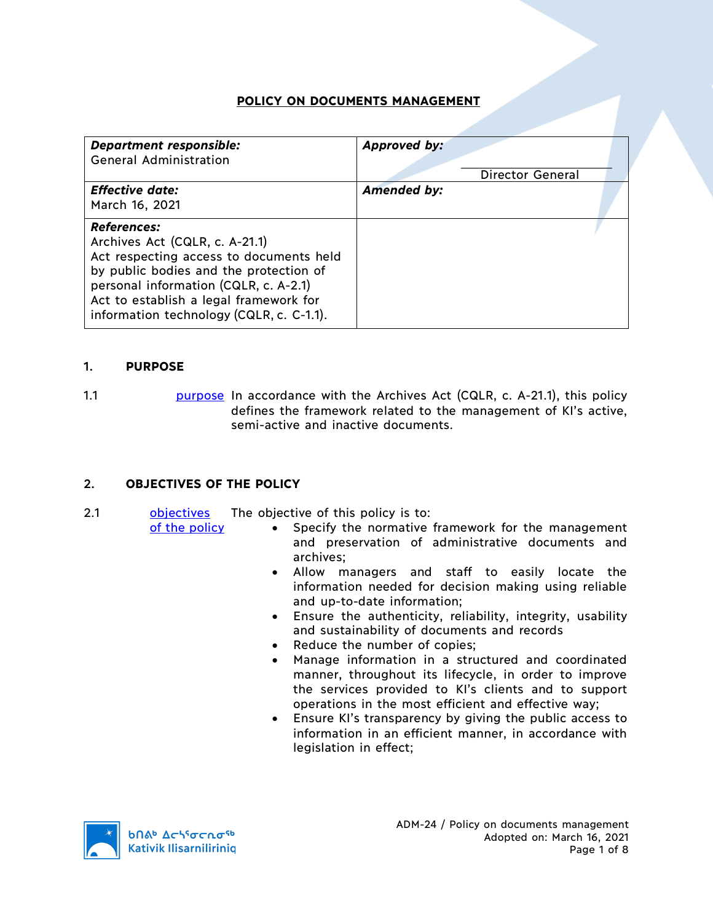# **POLICY ON DOCUMENTS MANAGEMENT**

| <b>Department responsible:</b><br><b>General Administration</b>                                                                                                                                                                                                          | Approved by:<br><b>Director General</b> |
|--------------------------------------------------------------------------------------------------------------------------------------------------------------------------------------------------------------------------------------------------------------------------|-----------------------------------------|
| <b>Effective date:</b><br>March 16, 2021                                                                                                                                                                                                                                 | <b>Amended by:</b>                      |
| <b>References:</b><br>Archives Act (CQLR, c. A-21.1)<br>Act respecting access to documents held<br>by public bodies and the protection of<br>personal information (CQLR, c. A-2.1)<br>Act to establish a legal framework for<br>information technology (CQLR, c. C-1.1). |                                         |

### 1. **PURPOSE**

1.1 **purpose** In accordance with the Archives Act (CQLR, c. A-21.1), this policy defines the framework related to the management of KI's active, semi-active and inactive documents.

## 2. **OBJECTIVES OF THE POLICY**

2.1 objectives The objective of this policy is to:

of the policy

- Specify the normative framework for the management and preservation of administrative documents and archives;
- Allow managers and staff to easily locate the information needed for decision making using reliable and up-to-date information;
- Ensure the authenticity, reliability, integrity, usability and sustainability of documents and records
- Reduce the number of copies:
- Manage information in a structured and coordinated manner, throughout its lifecycle, in order to improve the services provided to KI's clients and to support operations in the most efficient and effective way;
- Ensure KI's transparency by giving the public access to information in an efficient manner, in accordance with legislation in effect;

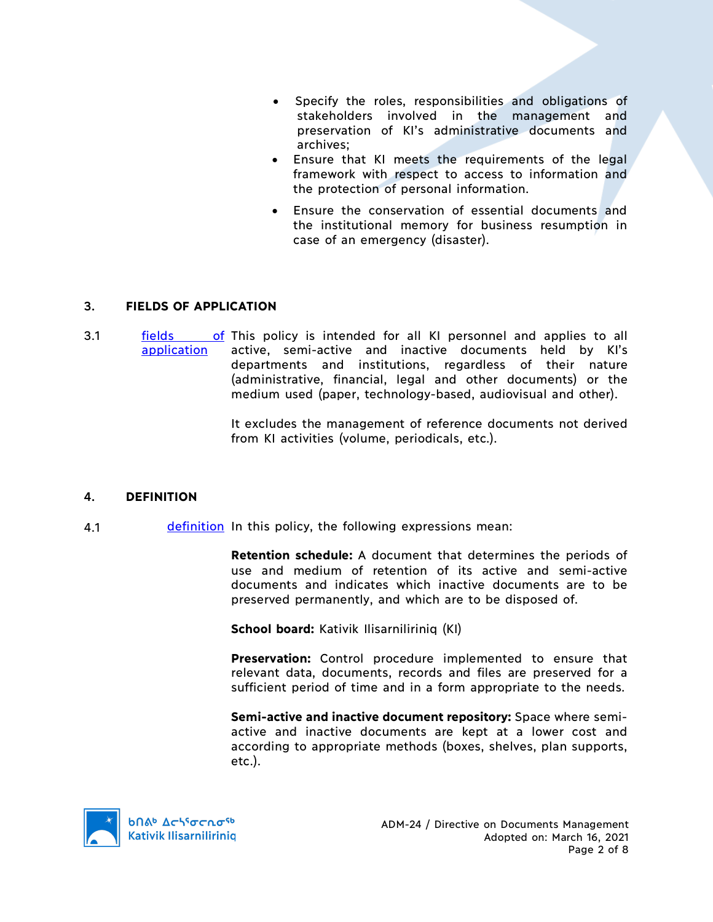- Specify the roles, responsibilities and obligations of stakeholders involved in the management and preservation of KI's administrative documents and archives;
- Ensure that KI meets the requirements of the legal framework with respect to access to information and the protection of personal information.
- Ensure the conservation of essential documents and the institutional memory for business resumption in case of an emergency (disaster).

### 3. **FIELDS OF APPLICATION**

3.1 **fields** of This policy is intended for all KI personnel and applies to all application active, semi-active and inactive documents held by KI's departments and institutions, regardless of their nature (administrative, financial, legal and other documents) or the medium used (paper, technology-based, audiovisual and other).

> It excludes the management of reference documents not derived from KI activities (volume, periodicals, etc.).

## 4. **DEFINITION**

4.1 definition In this policy, the following expressions mean:

**Retention schedule:** A document that determines the periods of use and medium of retention of its active and semi-active documents and indicates which inactive documents are to be preserved permanently, and which are to be disposed of.

**School board:** Kativik Ilisarniliriniq (KI)

**Preservation:** Control procedure implemented to ensure that relevant data, documents, records and files are preserved for a sufficient period of time and in a form appropriate to the needs.

**Semi-active and inactive document repository:** Space where semiactive and inactive documents are kept at a lower cost and according to appropriate methods (boxes, shelves, plan supports, etc.).

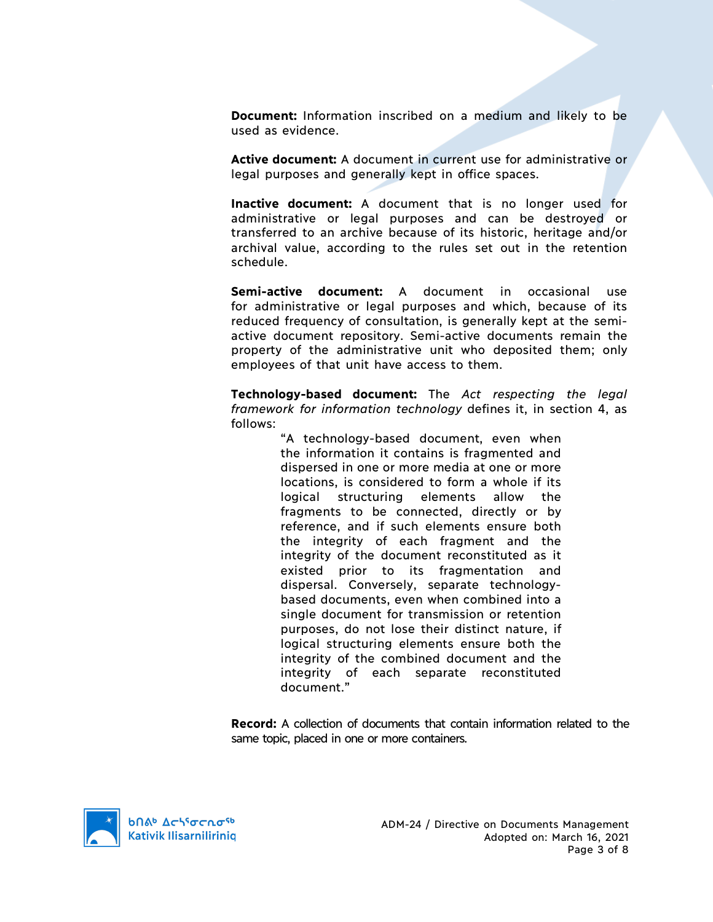**Document:** Information inscribed on a medium and likely to be used as evidence.

**Active document:** A document in current use for administrative or legal purposes and generally kept in office spaces.

**Inactive document:** A document that is no longer used for administrative or legal purposes and can be destroyed or transferred to an archive because of its historic, heritage and/or archival value, according to the rules set out in the retention schedule.

**Semi-active document:** A document in occasional use for administrative or legal purposes and which, because of its reduced frequency of consultation, is generally kept at the semiactive document repository. Semi-active documents remain the property of the administrative unit who deposited them; only employees of that unit have access to them.

**Technology-based document:** The *Act respecting the legal framework for information technology* defines it, in section 4, as follows:

> "A technology-based document, even when the information it contains is fragmented and dispersed in one or more media at one or more locations, is considered to form a whole if its logical structuring elements allow the fragments to be connected, directly or by reference, and if such elements ensure both the integrity of each fragment and the integrity of the document reconstituted as it existed prior to its fragmentation and dispersal. Conversely, separate technologybased documents, even when combined into a single document for transmission or retention purposes, do not lose their distinct nature, if logical structuring elements ensure both the integrity of the combined document and the integrity of each separate reconstituted document."

**Record:** A collection of documents that contain information related to the same topic, placed in one or more containers.

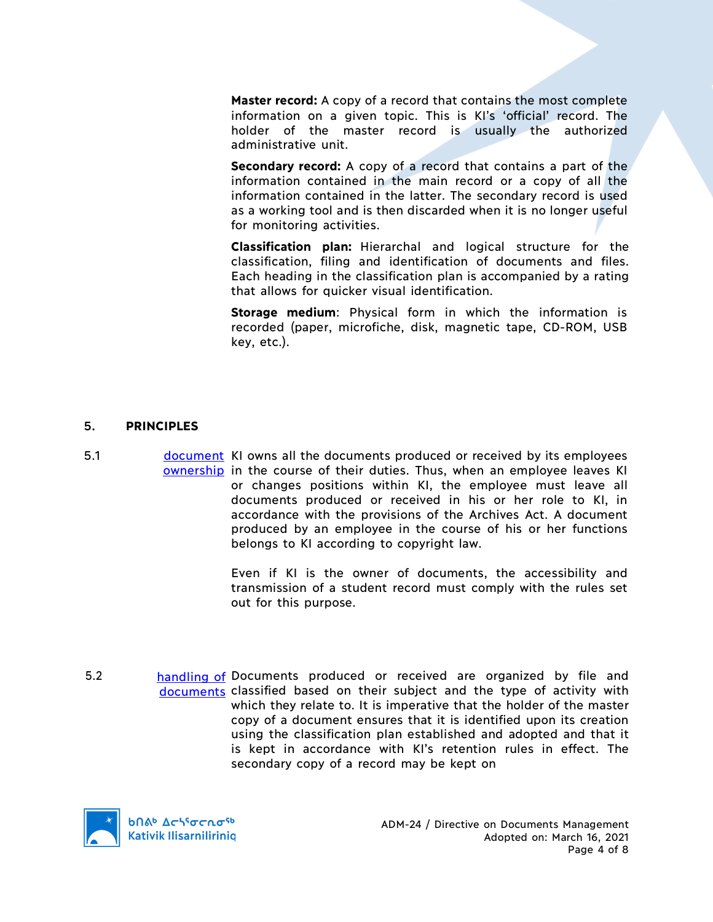**Master record:** A copy of a record that contains the most complete information on a given topic. This is KI's 'official' record. The holder of the master record is usually the authorized administrative unit.

Secondary record: A copy of a record that contains a part of the information contained in the main record or a copy of all the information contained in the latter. The secondary record is used as a working tool and is then discarded when it is no longer useful for monitoring activities.

**Classification plan:** Hierarchal and logical structure for the classification, filing and identification of documents and files. Each heading in the classification plan is accompanied by a rating that allows for quicker visual identification.

**Storage medium**: Physical form in which the information is recorded (paper, microfiche, disk, magnetic tape, CD-ROM, USB key, etc.).

#### 5. **PRINCIPLES**

5.1 document KI owns all the documents produced or received by its employees ownership in the course of their duties. Thus, when an employee leaves KI or changes positions within KI, the employee must leave all documents produced or received in his or her role to KI, in accordance with the provisions of the Archives Act. A document produced by an employee in the course of his or her functions belongs to KI according to copyright law.

> Even if KI is the owner of documents, the accessibility and transmission of a student record must comply with the rules set out for this purpose.

5.2 **handling of Documents produced or received are organized by file and** documents classified based on their subject and the type of activity with which they relate to. It is imperative that the holder of the master copy of a document ensures that it is identified upon its creation using the classification plan established and adopted and that it is kept in accordance with KI's retention rules in effect. The secondary copy of a record may be kept on

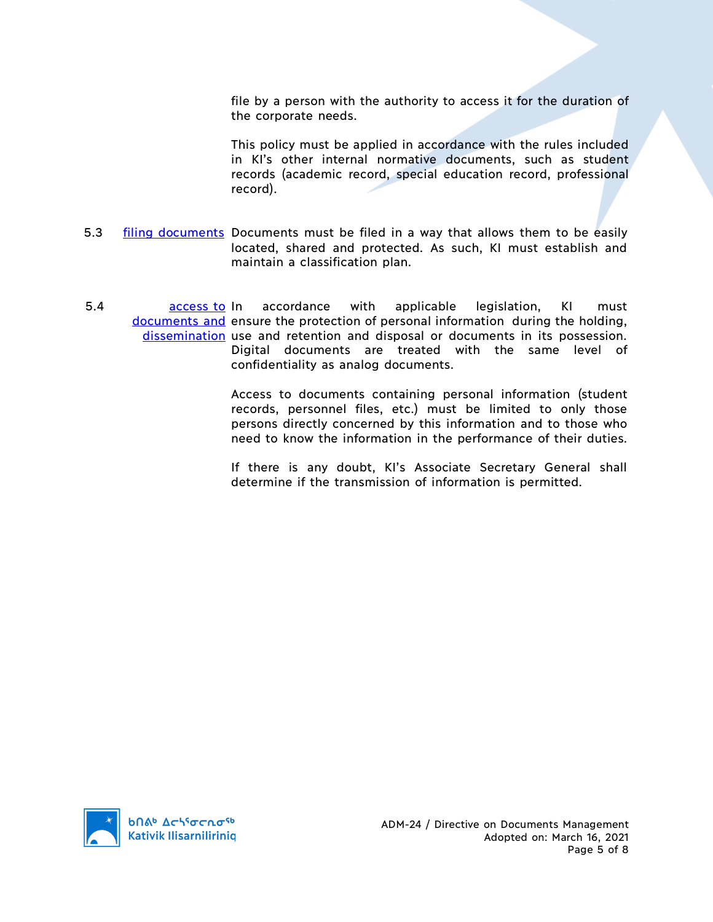file by a person with the authority to access it for the duration of the corporate needs.

This policy must be applied in accordance with the rules included in KI's other internal normative documents, such as student records (academic record, special education record, professional record).

- 5.3 **filing documents** Documents must be filed in a way that allows them to be easily located, shared and protected. As such, KI must establish and maintain a classification plan.
- 5.4 access to documents and ensure the protection of personal information during the holding, dissemination use and retention and disposal or documents in its possession. accordance with applicable legislation, KI must Digital documents are treated with the same level of confidentiality as analog documents.

Access to documents containing personal information (student records, personnel files, etc.) must be limited to only those persons directly concerned by this information and to those who need to know the information in the performance of their duties.

If there is any doubt, KI's Associate Secretary General shall determine if the transmission of information is permitted.

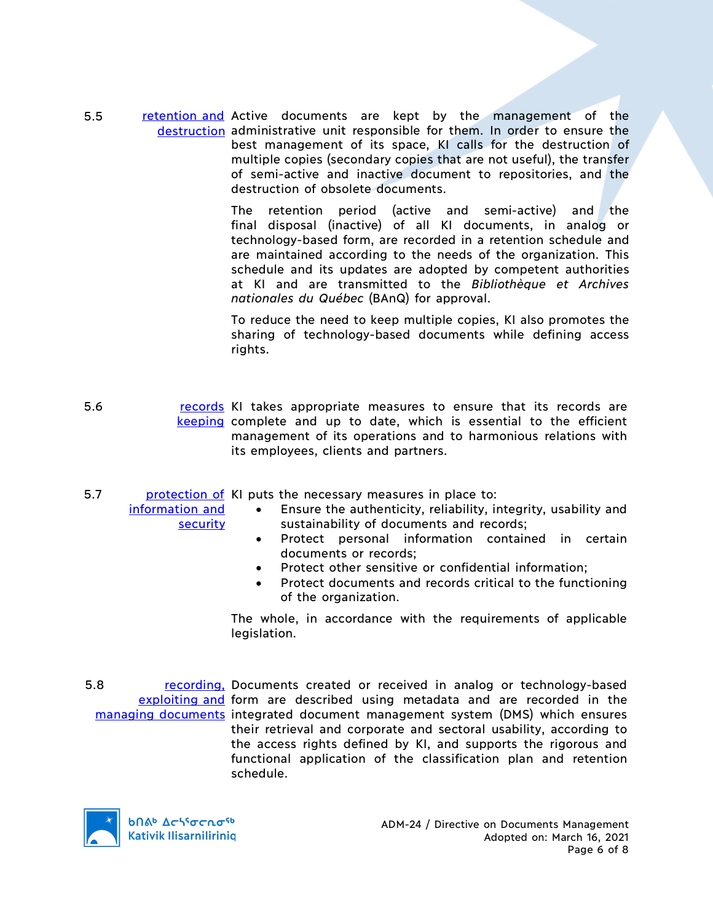5.5 retention and Active documents are kept by the management of the destruction administrative unit responsible for them. In order to ensure the best management of its space, KI calls for the destruction of multiple copies (secondary copies that are not useful), the transfer of semi-active and inactive document to repositories, and the destruction of obsolete documents.

> The retention period (active and semi-active) and the final disposal (inactive) of all KI documents, in analog or technology-based form, are recorded in a retention schedule and are maintained according to the needs of the organization. This schedule and its updates are adopted by competent authorities at KI and are transmitted to the *Bibliothèque et Archives nationales du Québec* (BAnQ) for approval.

> To reduce the need to keep multiple copies, KI also promotes the sharing of technology-based documents while defining access rights.

- 5.6 **records** KI takes appropriate measures to ensure that its records are keeping complete and up to date, which is essential to the efficient management of its operations and to harmonious relations with its employees, clients and partners.
- 5.7 **protection of KI puts the necessary measures in place to:**

information and security

- Ensure the authenticity, reliability, integrity, usability and
- sustainability of documents and records;
	- Protect personal information contained in certain documents or records;
	- Protect other sensitive or confidential information;
	- Protect documents and records critical to the functioning of the organization.

The whole, in accordance with the requirements of applicable legislation.

5.8 recording, Documents created or received in analog or technology-based exploiting and form are described using metadata and are recorded in the managing documents integrated document management system (DMS) which ensures their retrieval and corporate and sectoral usability, according to the access rights defined by KI, and supports the rigorous and functional application of the classification plan and retention schedule.

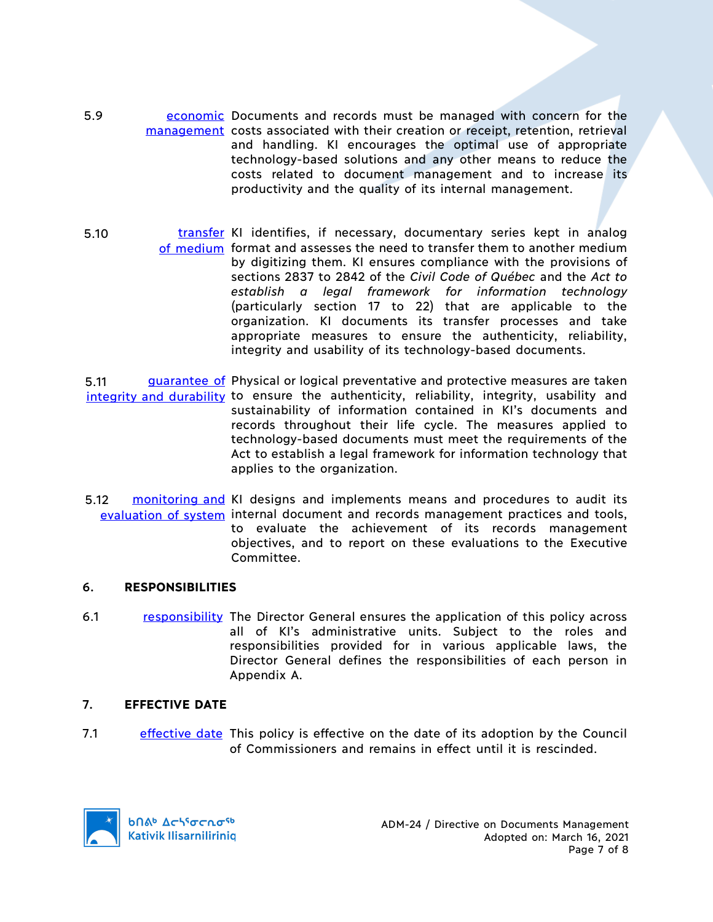- 5.9 **Example 2** economic Documents and records must be managed with concern for the management costs associated with their creation or receipt, retention, retrieval and handling. KI encourages the optimal use of appropriate technology-based solutions and any other means to reduce the costs related to document management and to increase its productivity and the quality of its internal management.
- 5.10 **transfer** KI identifies, if necessary, documentary series kept in analog of medium format and assesses the need to transfer them to another medium by digitizing them. KI ensures compliance with the provisions of sections 2837 to 2842 of the *Civil Code of Québec* and the *Act to establish a legal framework for information technology* (particularly section 17 to 22) that are applicable to the organization. KI documents its transfer processes and take appropriate measures to ensure the authenticity, reliability, integrity and usability of its technology-based documents.
- 5.11 guarantee of Physical or logical preventative and protective measures are taken integrity and durability to ensure the authenticity, reliability, integrity, usability and sustainability of information contained in KI's documents and records throughout their life cycle. The measures applied to technology-based documents must meet the requirements of the Act to establish a legal framework for information technology that applies to the organization.
- 5.12 monitoring and KI designs and implements means and procedures to audit its evaluation of system internal document and records management practices and tools, to evaluate the achievement of its records management objectives, and to report on these evaluations to the Executive Committee.

### 6. **RESPONSIBILITIES**

6.1 responsibility The Director General ensures the application of this policy across all of KI's administrative units. Subject to the roles and responsibilities provided for in various applicable laws, the Director General defines the responsibilities of each person in Appendix A.

## 7. **EFFECTIVE DATE**

7.1 effective date This policy is effective on the date of its adoption by the Council of Commissioners and remains in effect until it is rescinded.